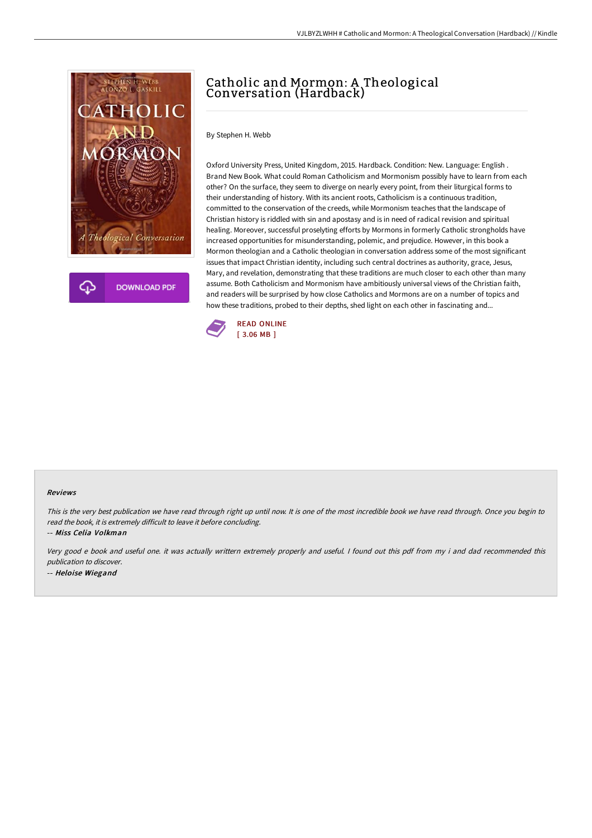

**DOWNLOAD PDF** 

## Catholic and Mormon: A Theological Conversation (Hardback)

By Stephen H. Webb

Oxford University Press, United Kingdom, 2015. Hardback. Condition: New. Language: English . Brand New Book. What could Roman Catholicism and Mormonism possibly have to learn from each other? On the surface, they seem to diverge on nearly every point, from their liturgical forms to their understanding of history. With its ancient roots, Catholicism is a continuous tradition, committed to the conservation of the creeds, while Mormonism teaches that the landscape of Christian history is riddled with sin and apostasy and is in need of radical revision and spiritual healing. Moreover, successful proselyting efforts by Mormons in formerly Catholic strongholds have increased opportunities for misunderstanding, polemic, and prejudice. However, in this book a Mormon theologian and a Catholic theologian in conversation address some of the most significant issues that impact Christian identity, including such central doctrines as authority, grace, Jesus, Mary, and revelation, demonstrating that these traditions are much closer to each other than many assume. Both Catholicism and Mormonism have ambitiously universal views of the Christian faith, and readers will be surprised by how close Catholics and Mormons are on a number of topics and how these traditions, probed to their depths, shed light on each other in fascinating and...



## Reviews

This is the very best publication we have read through right up until now. It is one of the most incredible book we have read through. Once you begin to read the book, it is extremely difficult to leave it before concluding.

-- Miss Celia Volkman

Very good <sup>e</sup> book and useful one. it was actually writtern extremely properly and useful. <sup>I</sup> found out this pdf from my i and dad recommended this publication to discover. -- Heloise Wiegand